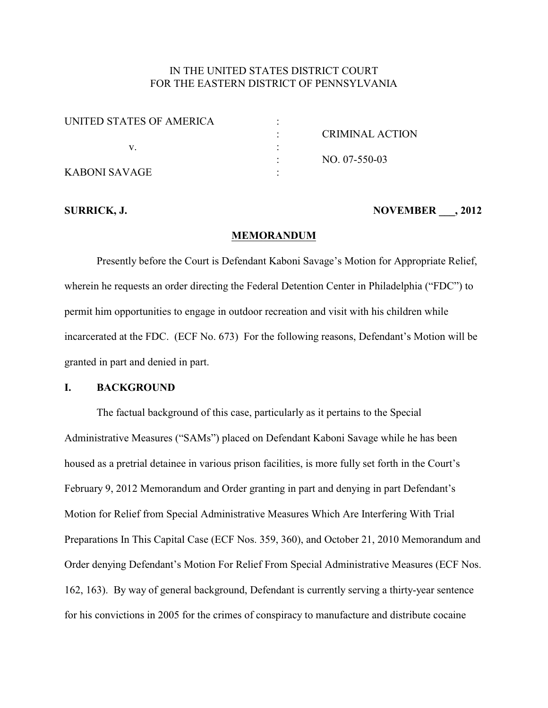## IN THE UNITED STATES DISTRICT COURT FOR THE EASTERN DISTRICT OF PENNSYLVANIA

| UNITED STATES OF AMERICA |                        |
|--------------------------|------------------------|
|                          | <b>CRIMINAL ACTION</b> |
|                          |                        |
|                          | NO. 07-550-03          |
| KABONI SAVAGE            |                        |

#### **SURRICK, J. NOVEMBER \_\_\_, 2012**

#### **MEMORANDUM**

Presently before the Court is Defendant Kaboni Savage's Motion for Appropriate Relief, wherein he requests an order directing the Federal Detention Center in Philadelphia ("FDC") to permit him opportunities to engage in outdoor recreation and visit with his children while incarcerated at the FDC. (ECF No. 673) For the following reasons, Defendant's Motion will be granted in part and denied in part.

#### **I. BACKGROUND**

The factual background of this case, particularly as it pertains to the Special Administrative Measures ("SAMs") placed on Defendant Kaboni Savage while he has been housed as a pretrial detainee in various prison facilities, is more fully set forth in the Court's February 9, 2012 Memorandum and Order granting in part and denying in part Defendant's Motion for Relief from Special Administrative Measures Which Are Interfering With Trial Preparations In This Capital Case (ECF Nos. 359, 360), and October 21, 2010 Memorandum and Order denying Defendant's Motion For Relief From Special Administrative Measures (ECF Nos. 162, 163). By way of general background, Defendant is currently serving a thirty-year sentence for his convictions in 2005 for the crimes of conspiracy to manufacture and distribute cocaine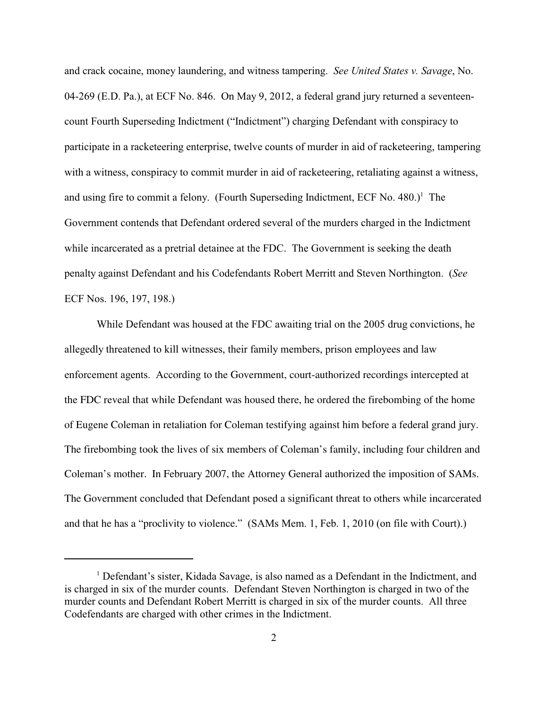and crack cocaine, money laundering, and witness tampering. *See United States v. Savage*, No. 04-269 (E.D. Pa.), at ECF No. 846. On May 9, 2012, a federal grand jury returned a seventeencount Fourth Superseding Indictment ("Indictment") charging Defendant with conspiracy to participate in a racketeering enterprise, twelve counts of murder in aid of racketeering, tampering with a witness, conspiracy to commit murder in aid of racketeering, retaliating against a witness, and using fire to commit a felony. (Fourth Superseding Indictment, ECF No.  $480$ .)<sup>1</sup> The Government contends that Defendant ordered several of the murders charged in the Indictment while incarcerated as a pretrial detainee at the FDC. The Government is seeking the death penalty against Defendant and his Codefendants Robert Merritt and Steven Northington. (*See* ECF Nos. 196, 197, 198.)

While Defendant was housed at the FDC awaiting trial on the 2005 drug convictions, he allegedly threatened to kill witnesses, their family members, prison employees and law enforcement agents. According to the Government, court-authorized recordings intercepted at the FDC reveal that while Defendant was housed there, he ordered the firebombing of the home of Eugene Coleman in retaliation for Coleman testifying against him before a federal grand jury. The firebombing took the lives of six members of Coleman's family, including four children and Coleman's mother. In February 2007, the Attorney General authorized the imposition of SAMs. The Government concluded that Defendant posed a significant threat to others while incarcerated and that he has a "proclivity to violence." (SAMs Mem. 1, Feb. 1, 2010 (on file with Court).)

<sup>&</sup>lt;sup>1</sup> Defendant's sister, Kidada Savage, is also named as a Defendant in the Indictment, and is charged in six of the murder counts. Defendant Steven Northington is charged in two of the murder counts and Defendant Robert Merritt is charged in six of the murder counts. All three Codefendants are charged with other crimes in the Indictment.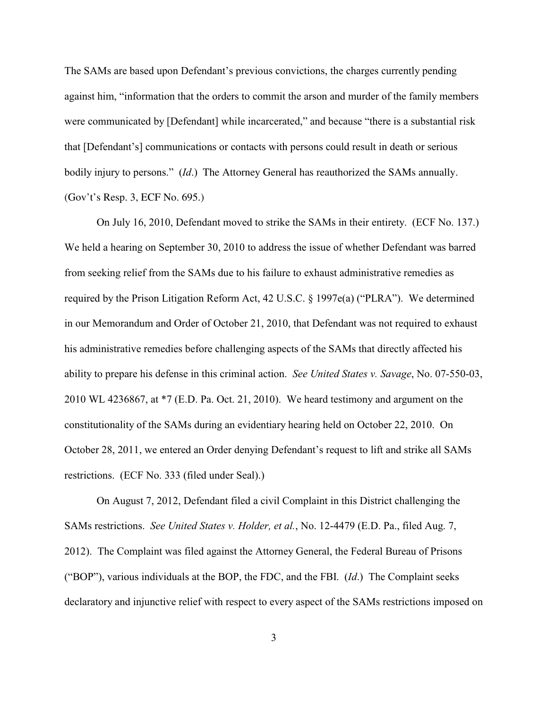The SAMs are based upon Defendant's previous convictions, the charges currently pending against him, "information that the orders to commit the arson and murder of the family members were communicated by [Defendant] while incarcerated," and because "there is a substantial risk that [Defendant's] communications or contacts with persons could result in death or serious bodily injury to persons." (*Id*.) The Attorney General has reauthorized the SAMs annually. (Gov't's Resp. 3, ECF No. 695.)

On July 16, 2010, Defendant moved to strike the SAMs in their entirety. (ECF No. 137.) We held a hearing on September 30, 2010 to address the issue of whether Defendant was barred from seeking relief from the SAMs due to his failure to exhaust administrative remedies as required by the Prison Litigation Reform Act, 42 U.S.C. § 1997e(a) ("PLRA"). We determined in our Memorandum and Order of October 21, 2010, that Defendant was not required to exhaust his administrative remedies before challenging aspects of the SAMs that directly affected his ability to prepare his defense in this criminal action. *See United States v. Savage*, No. 07-550-03, 2010 WL 4236867, at \*7 (E.D. Pa. Oct. 21, 2010). We heard testimony and argument on the constitutionality of the SAMs during an evidentiary hearing held on October 22, 2010. On October 28, 2011, we entered an Order denying Defendant's request to lift and strike all SAMs restrictions. (ECF No. 333 (filed under Seal).)

On August 7, 2012, Defendant filed a civil Complaint in this District challenging the SAMs restrictions. *See United States v. Holder, et al.*, No. 12-4479 (E.D. Pa., filed Aug. 7, 2012). The Complaint was filed against the Attorney General, the Federal Bureau of Prisons ("BOP"), various individuals at the BOP, the FDC, and the FBI. (*Id*.) The Complaint seeks declaratory and injunctive relief with respect to every aspect of the SAMs restrictions imposed on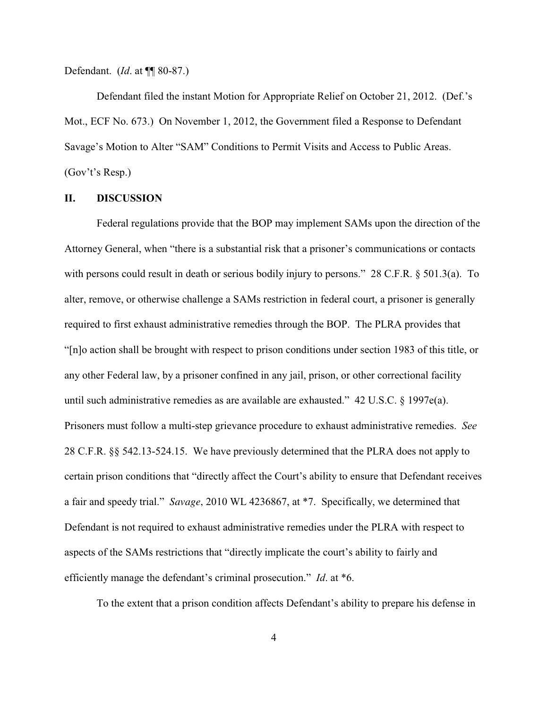Defendant. (*Id*. at ¶¶ 80-87.)

Defendant filed the instant Motion for Appropriate Relief on October 21, 2012. (Def.'s Mot., ECF No. 673.) On November 1, 2012, the Government filed a Response to Defendant Savage's Motion to Alter "SAM" Conditions to Permit Visits and Access to Public Areas. (Gov't's Resp.)

## **II. DISCUSSION**

Federal regulations provide that the BOP may implement SAMs upon the direction of the Attorney General, when "there is a substantial risk that a prisoner's communications or contacts with persons could result in death or serious bodily injury to persons." 28 C.F.R. § 501.3(a). To alter, remove, or otherwise challenge a SAMs restriction in federal court, a prisoner is generally required to first exhaust administrative remedies through the BOP. The PLRA provides that "[n]o action shall be brought with respect to prison conditions under section 1983 of this title, or any other Federal law, by a prisoner confined in any jail, prison, or other correctional facility until such administrative remedies as are available are exhausted." 42 U.S.C. § 1997e(a). Prisoners must follow a multi-step grievance procedure to exhaust administrative remedies. *See* 28 C.F.R. §§ 542.13-524.15. We have previously determined that the PLRA does not apply to certain prison conditions that "directly affect the Court's ability to ensure that Defendant receives a fair and speedy trial." *Savage*, 2010 WL 4236867, at \*7. Specifically, we determined that Defendant is not required to exhaust administrative remedies under the PLRA with respect to aspects of the SAMs restrictions that "directly implicate the court's ability to fairly and efficiently manage the defendant's criminal prosecution." *Id*. at \*6.

To the extent that a prison condition affects Defendant's ability to prepare his defense in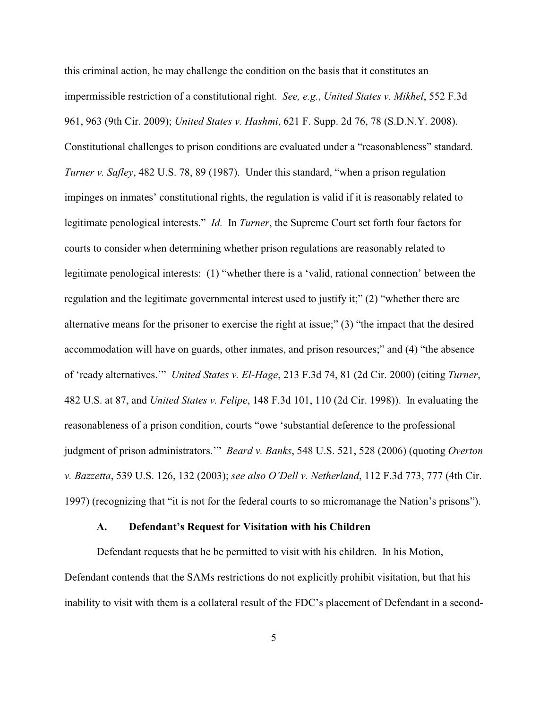this criminal action, he may challenge the condition on the basis that it constitutes an impermissible restriction of a constitutional right. *See, e.g.*, *United States v. Mikhel*, 552 F.3d 961, 963 (9th Cir. 2009); *United States v. Hashmi*, 621 F. Supp. 2d 76, 78 (S.D.N.Y. 2008). Constitutional challenges to prison conditions are evaluated under a "reasonableness" standard. *Turner v. Safley*, 482 U.S. 78, 89 (1987). Under this standard, "when a prison regulation impinges on inmates' constitutional rights, the regulation is valid if it is reasonably related to legitimate penological interests." *Id.* In *Turner*, the Supreme Court set forth four factors for courts to consider when determining whether prison regulations are reasonably related to legitimate penological interests: (1) "whether there is a 'valid, rational connection' between the regulation and the legitimate governmental interest used to justify it;" (2) "whether there are alternative means for the prisoner to exercise the right at issue;" (3) "the impact that the desired accommodation will have on guards, other inmates, and prison resources;" and (4) "the absence of 'ready alternatives.'" *United States v. El-Hage*, 213 F.3d 74, 81 (2d Cir. 2000) (citing *Turner*, 482 U.S. at 87, and *United States v. Felipe*, 148 F.3d 101, 110 (2d Cir. 1998)). In evaluating the reasonableness of a prison condition, courts "owe 'substantial deference to the professional judgment of prison administrators.'" *Beard v. Banks*, 548 U.S. 521, 528 (2006) (quoting *Overton v. Bazzetta*, 539 U.S. 126, 132 (2003); *see also O'Dell v. Netherland*, 112 F.3d 773, 777 (4th Cir. 1997) (recognizing that "it is not for the federal courts to so micromanage the Nation's prisons").

## **A. Defendant's Request for Visitation with his Children**

Defendant requests that he be permitted to visit with his children. In his Motion, Defendant contends that the SAMs restrictions do not explicitly prohibit visitation, but that his inability to visit with them is a collateral result of the FDC's placement of Defendant in a second-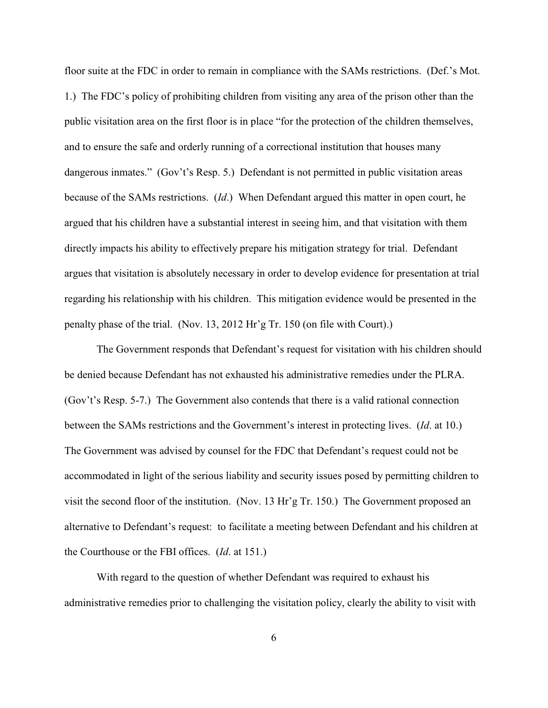floor suite at the FDC in order to remain in compliance with the SAMs restrictions. (Def.'s Mot. 1.) The FDC's policy of prohibiting children from visiting any area of the prison other than the public visitation area on the first floor is in place "for the protection of the children themselves, and to ensure the safe and orderly running of a correctional institution that houses many dangerous inmates." (Gov't's Resp. 5.) Defendant is not permitted in public visitation areas because of the SAMs restrictions. (*Id*.) When Defendant argued this matter in open court, he argued that his children have a substantial interest in seeing him, and that visitation with them directly impacts his ability to effectively prepare his mitigation strategy for trial. Defendant argues that visitation is absolutely necessary in order to develop evidence for presentation at trial regarding his relationship with his children. This mitigation evidence would be presented in the penalty phase of the trial. (Nov. 13, 2012 Hr'g Tr. 150 (on file with Court).)

The Government responds that Defendant's request for visitation with his children should be denied because Defendant has not exhausted his administrative remedies under the PLRA. (Gov't's Resp. 5-7.) The Government also contends that there is a valid rational connection between the SAMs restrictions and the Government's interest in protecting lives. (*Id*. at 10.) The Government was advised by counsel for the FDC that Defendant's request could not be accommodated in light of the serious liability and security issues posed by permitting children to visit the second floor of the institution. (Nov. 13 Hr'g Tr. 150.) The Government proposed an alternative to Defendant's request: to facilitate a meeting between Defendant and his children at the Courthouse or the FBI offices. (*Id*. at 151.)

With regard to the question of whether Defendant was required to exhaust his administrative remedies prior to challenging the visitation policy, clearly the ability to visit with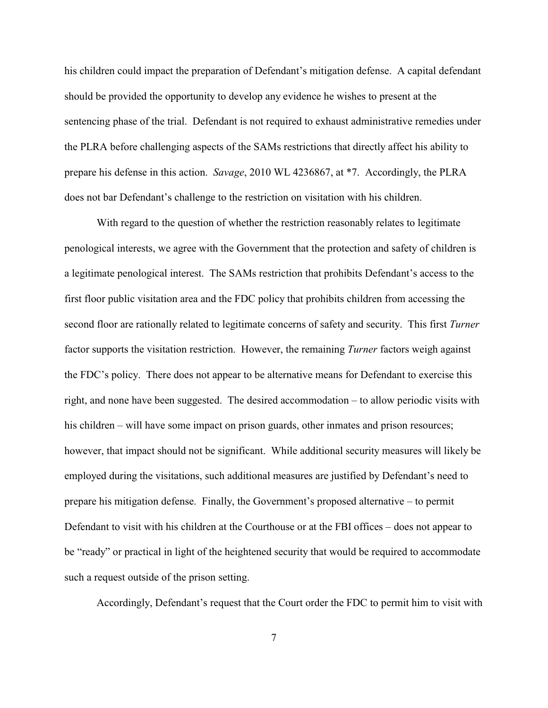his children could impact the preparation of Defendant's mitigation defense. A capital defendant should be provided the opportunity to develop any evidence he wishes to present at the sentencing phase of the trial. Defendant is not required to exhaust administrative remedies under the PLRA before challenging aspects of the SAMs restrictions that directly affect his ability to prepare his defense in this action. *Savage*, 2010 WL 4236867, at \*7. Accordingly, the PLRA does not bar Defendant's challenge to the restriction on visitation with his children.

With regard to the question of whether the restriction reasonably relates to legitimate penological interests, we agree with the Government that the protection and safety of children is a legitimate penological interest. The SAMs restriction that prohibits Defendant's access to the first floor public visitation area and the FDC policy that prohibits children from accessing the second floor are rationally related to legitimate concerns of safety and security. This first *Turner* factor supports the visitation restriction. However, the remaining *Turner* factors weigh against the FDC's policy. There does not appear to be alternative means for Defendant to exercise this right, and none have been suggested. The desired accommodation – to allow periodic visits with his children – will have some impact on prison guards, other inmates and prison resources; however, that impact should not be significant. While additional security measures will likely be employed during the visitations, such additional measures are justified by Defendant's need to prepare his mitigation defense. Finally, the Government's proposed alternative – to permit Defendant to visit with his children at the Courthouse or at the FBI offices – does not appear to be "ready" or practical in light of the heightened security that would be required to accommodate such a request outside of the prison setting.

Accordingly, Defendant's request that the Court order the FDC to permit him to visit with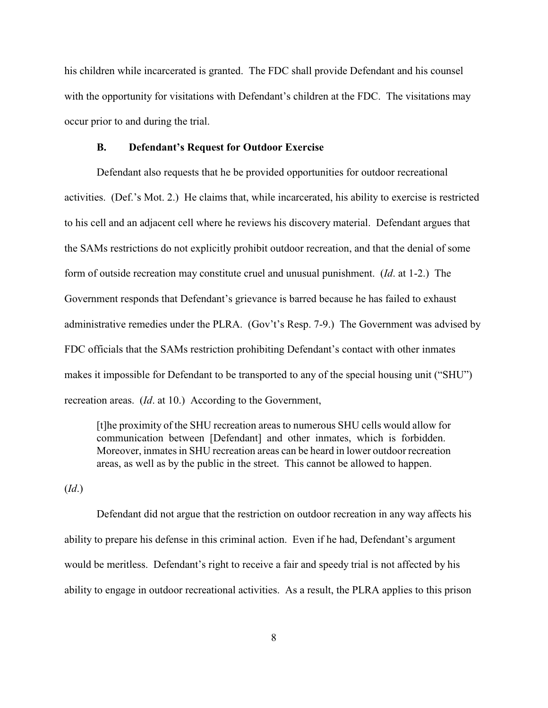his children while incarcerated is granted. The FDC shall provide Defendant and his counsel with the opportunity for visitations with Defendant's children at the FDC. The visitations may occur prior to and during the trial.

## **B. Defendant's Request for Outdoor Exercise**

Defendant also requests that he be provided opportunities for outdoor recreational activities. (Def.'s Mot. 2.) He claims that, while incarcerated, his ability to exercise is restricted to his cell and an adjacent cell where he reviews his discovery material. Defendant argues that the SAMs restrictions do not explicitly prohibit outdoor recreation, and that the denial of some form of outside recreation may constitute cruel and unusual punishment. (*Id*. at 1-2.) The Government responds that Defendant's grievance is barred because he has failed to exhaust administrative remedies under the PLRA. (Gov't's Resp. 7-9.) The Government was advised by FDC officials that the SAMs restriction prohibiting Defendant's contact with other inmates makes it impossible for Defendant to be transported to any of the special housing unit ("SHU") recreation areas. (*Id*. at 10.) According to the Government,

[t]he proximity of the SHU recreation areas to numerous SHU cells would allow for communication between [Defendant] and other inmates, which is forbidden. Moreover, inmates in SHU recreation areas can be heard in lower outdoor recreation areas, as well as by the public in the street. This cannot be allowed to happen.

(*Id*.)

Defendant did not argue that the restriction on outdoor recreation in any way affects his ability to prepare his defense in this criminal action. Even if he had, Defendant's argument would be meritless. Defendant's right to receive a fair and speedy trial is not affected by his ability to engage in outdoor recreational activities. As a result, the PLRA applies to this prison

8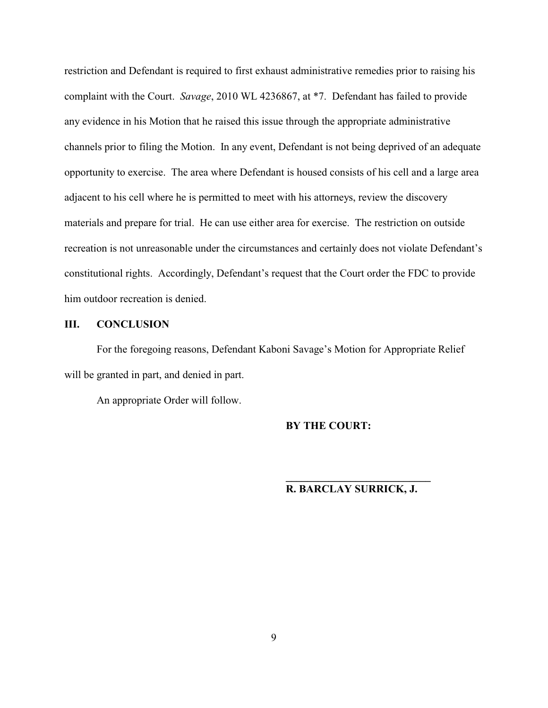restriction and Defendant is required to first exhaust administrative remedies prior to raising his complaint with the Court. *Savage*, 2010 WL 4236867, at \*7. Defendant has failed to provide any evidence in his Motion that he raised this issue through the appropriate administrative channels prior to filing the Motion. In any event, Defendant is not being deprived of an adequate opportunity to exercise. The area where Defendant is housed consists of his cell and a large area adjacent to his cell where he is permitted to meet with his attorneys, review the discovery materials and prepare for trial. He can use either area for exercise. The restriction on outside recreation is not unreasonable under the circumstances and certainly does not violate Defendant's constitutional rights. Accordingly, Defendant's request that the Court order the FDC to provide him outdoor recreation is denied.

## **III. CONCLUSION**

For the foregoing reasons, Defendant Kaboni Savage's Motion for Appropriate Relief will be granted in part, and denied in part.

An appropriate Order will follow.

#### **BY THE COURT:**

# **R. BARCLAY SURRICK, J.**

**\_\_\_\_\_\_\_\_\_\_\_\_\_\_\_\_\_\_\_\_\_\_\_\_\_\_\_**